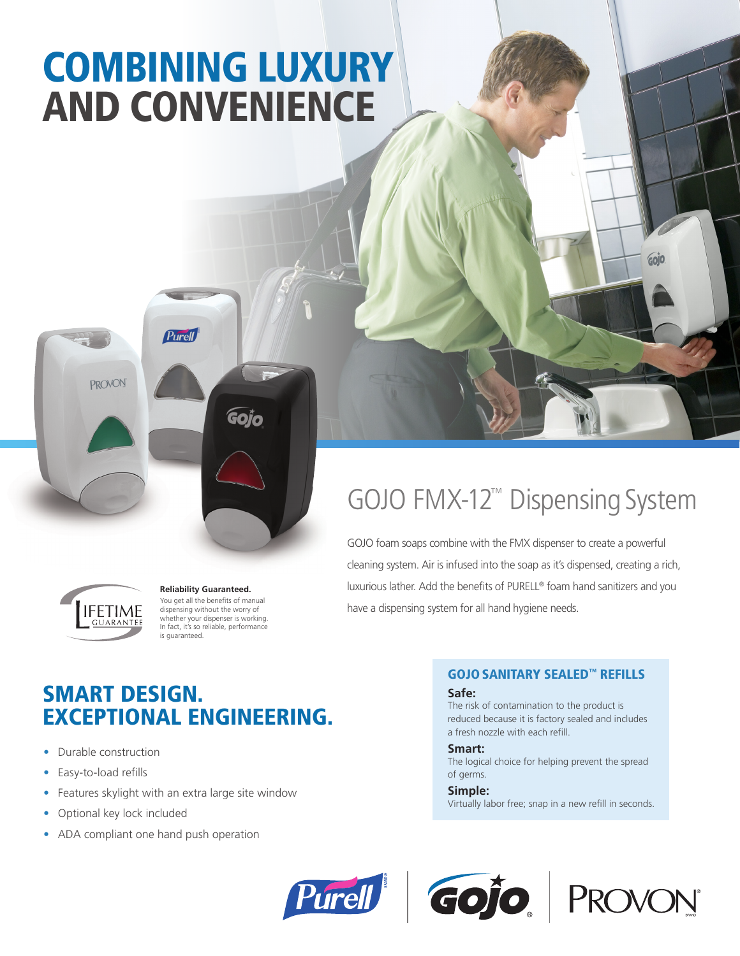# COMBINING LUXURY AND CONVENIENCE

**Purell PROVON** Gojo



#### **Reliability Guaranteed.** You get all the benefits of manual dispensing without the worry of whether your dispenser is working. In fact, it's so reliable, performance is guaranteed.

## GOJO FMX-12™ Dispensing System

GOJO foam soaps combine with the FMX dispenser to create a powerful cleaning system. Air is infused into the soap as it's dispensed, creating a rich, luxurious lather. Add the benefits of PURELL® foam hand sanitizers and you have a dispensing system for all hand hygiene needs.

### SMART DESIGN. EXCEPTIONAL ENGINEERING.

- Durable construction
- Easy-to-load refills
- Features skylight with an extra large site window
- Optional key lock included
- ADA compliant one hand push operation

#### GOJOSANITARY SEALED™ REFILLS

#### **Safe:**

The risk of contamination to the product is reduced because it is factory sealed and includes a fresh nozzle with each refill.

#### **Smart:**

The logical choice for helping prevent the spread of germs.

#### **Simple:**

Virtually labor free; snap in a new refill in seconds.







GOJO